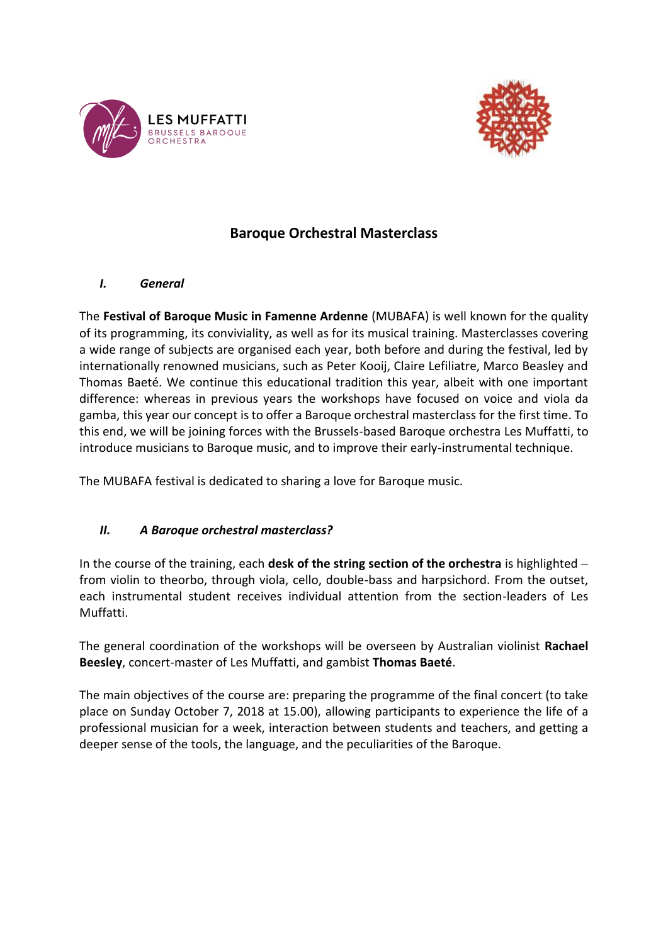



# **Baroque Orchestral Masterclass**

# *I. General*

The **Festival of Baroque Music in Famenne Ardenne** (MUBAFA) is well known for the quality of its programming, its conviviality, as well as for its musical training. Masterclasses covering a wide range of subjects are organised each year, both before and during the festival, led by internationally renowned musicians, such as Peter Kooij, Claire Lefiliatre, Marco Beasley and Thomas Baeté. We continue this educational tradition this year, albeit with one important difference: whereas in previous years the workshops have focused on voice and viola da gamba, this year our concept is to offer a Baroque orchestral masterclass for the first time. To this end, we will be joining forces with the Brussels-based Baroque orchestra Les Muffatti, to introduce musicians to Baroque music, and to improve their early-instrumental technique.

The MUBAFA festival is dedicated to sharing a love for Baroque music.

# *II. A Baroque orchestral masterclass?*

In the course of the training, each **desk of the string section of the orchestra** is highlighted − from violin to theorbo, through viola, cello, double-bass and harpsichord. From the outset, each instrumental student receives individual attention from the section-leaders of Les Muffatti.

The general coordination of the workshops will be overseen by Australian violinist **Rachael Beesley**, concert-master of Les Muffatti, and gambist **Thomas Baeté**.

The main objectives of the course are: preparing the programme of the final concert (to take place on Sunday October 7, 2018 at 15.00), allowing participants to experience the life of a professional musician for a week, interaction between students and teachers, and getting a deeper sense of the tools, the language, and the peculiarities of the Baroque.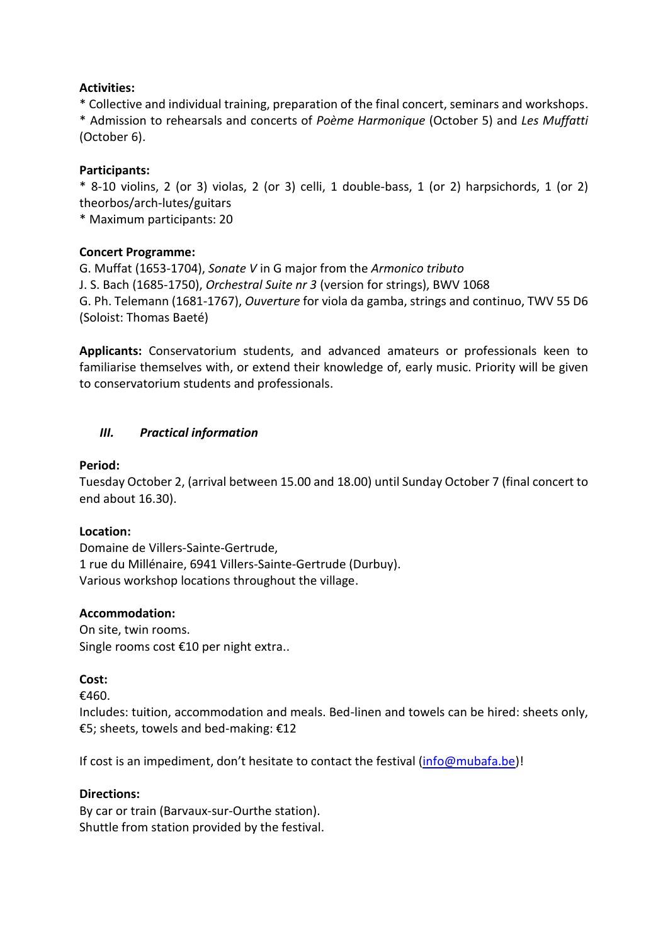# **Activities:**

\* Collective and individual training, preparation of the final concert, seminars and workshops. \* Admission to rehearsals and concerts of *Poème Harmonique* (October 5) and *Les Muffatti*  (October 6).

## **Participants:**

\* 8-10 violins, 2 (or 3) violas, 2 (or 3) celli, 1 double-bass, 1 (or 2) harpsichords, 1 (or 2) theorbos/arch-lutes/guitars

\* Maximum participants: 20

### **Concert Programme:**

G. Muffat (1653-1704), *Sonate V* in G major from the *Armonico tributo* J. S. Bach (1685-1750), *Orchestral Suite nr 3* (version for strings), BWV 1068 G. Ph. Telemann (1681-1767), *Ouverture* for viola da gamba, strings and continuo, TWV 55 D6 (Soloist: Thomas Baeté)

**Applicants:** Conservatorium students, and advanced amateurs or professionals keen to familiarise themselves with, or extend their knowledge of, early music. Priority will be given to conservatorium students and professionals.

# *III. Practical information*

#### **Period:**

Tuesday October 2, (arrival between 15.00 and 18.00) until Sunday October 7 (final concert to end about 16.30).

#### **Location:**

Domaine de Villers-Sainte-Gertrude, 1 rue du Millénaire, 6941 Villers-Sainte-Gertrude (Durbuy). Various workshop locations throughout the village.

#### **Accommodation:**

On site, twin rooms. Single rooms cost €10 per night extra..

#### **Cost:**

€460.

Includes: tuition, accommodation and meals. Bed-linen and towels can be hired: sheets only, €5; sheets, towels and bed-making: €12

If cost is an impediment, don't hesitate to contact the festival [\(info@mubafa.be\)](mailto:info@mubafa.be)!

#### **Directions:**

By car or train (Barvaux-sur-Ourthe station). Shuttle from station provided by the festival.